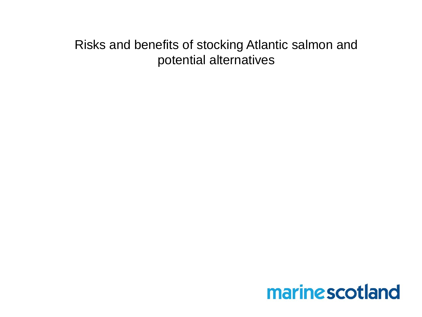#### Risks and benefits of stocking Atlantic salmon and potential alternatives

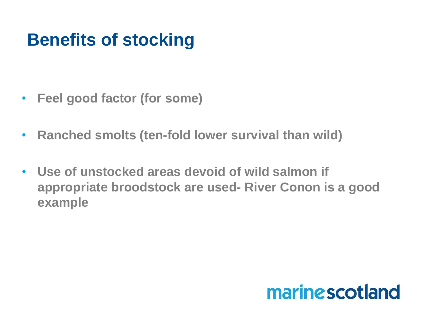## **Benefits of stocking**

- **Feel good factor (for some)**
- **Ranched smolts (ten-fold lower survival than wild)**
- **Use of unstocked areas devoid of wild salmon if appropriate broodstock are used- River Conon is a good example**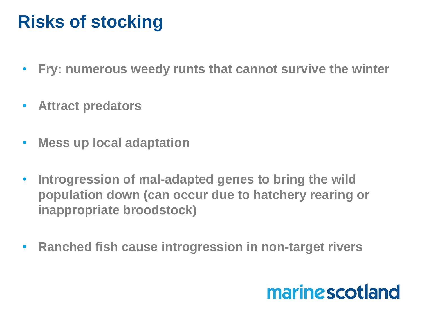### **Risks of stocking**

- **Fry: numerous weedy runts that cannot survive the winter**
- **Attract predators**
- **Mess up local adaptation**
- **Introgression of mal-adapted genes to bring the wild population down (can occur due to hatchery rearing or inappropriate broodstock)**
- **Ranched fish cause introgression in non-target rivers**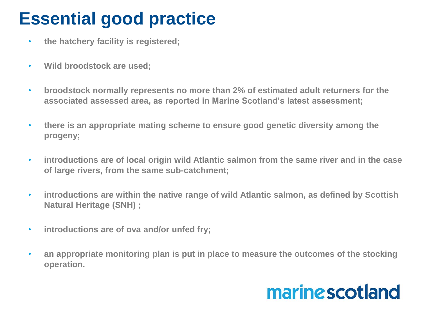## **Essential good practice**

- **the hatchery facility is registered;**
- **Wild broodstock are used;**
- **broodstock normally represents no more than 2% of estimated adult returners for the associated assessed area, as reported in Marine Scotland's latest assessment;**
- **there is an appropriate mating scheme to ensure good genetic diversity among the progeny;**
- **introductions are of local origin wild Atlantic salmon from the same river and in the case of large rivers, from the same sub-catchment;**
- **introductions are within the native range of wild Atlantic salmon, as defined by Scottish Natural Heritage (SNH) ;**
- **introductions are of ova and/or unfed fry;**
- **an appropriate monitoring plan is put in place to measure the outcomes of the stocking operation.**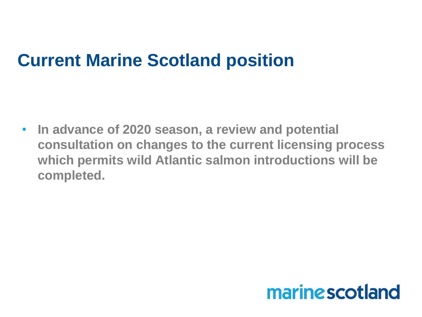#### **Current Marine Scotland position**

• **In advance of 2020 season, a review and potential consultation on changes to the current licensing process which permits wild Atlantic salmon introductions will be completed.**

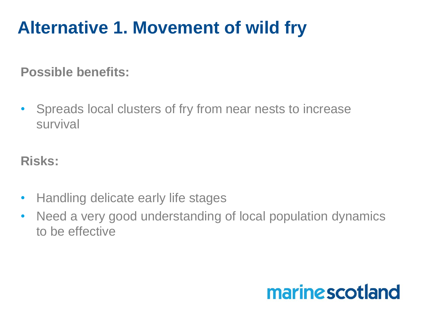## **Alternative 1. Movement of wild fry**

**Possible benefits:**

• Spreads local clusters of fry from near nests to increase survival

**Risks:**

- Handling delicate early life stages
- Need a very good understanding of local population dynamics to be effective